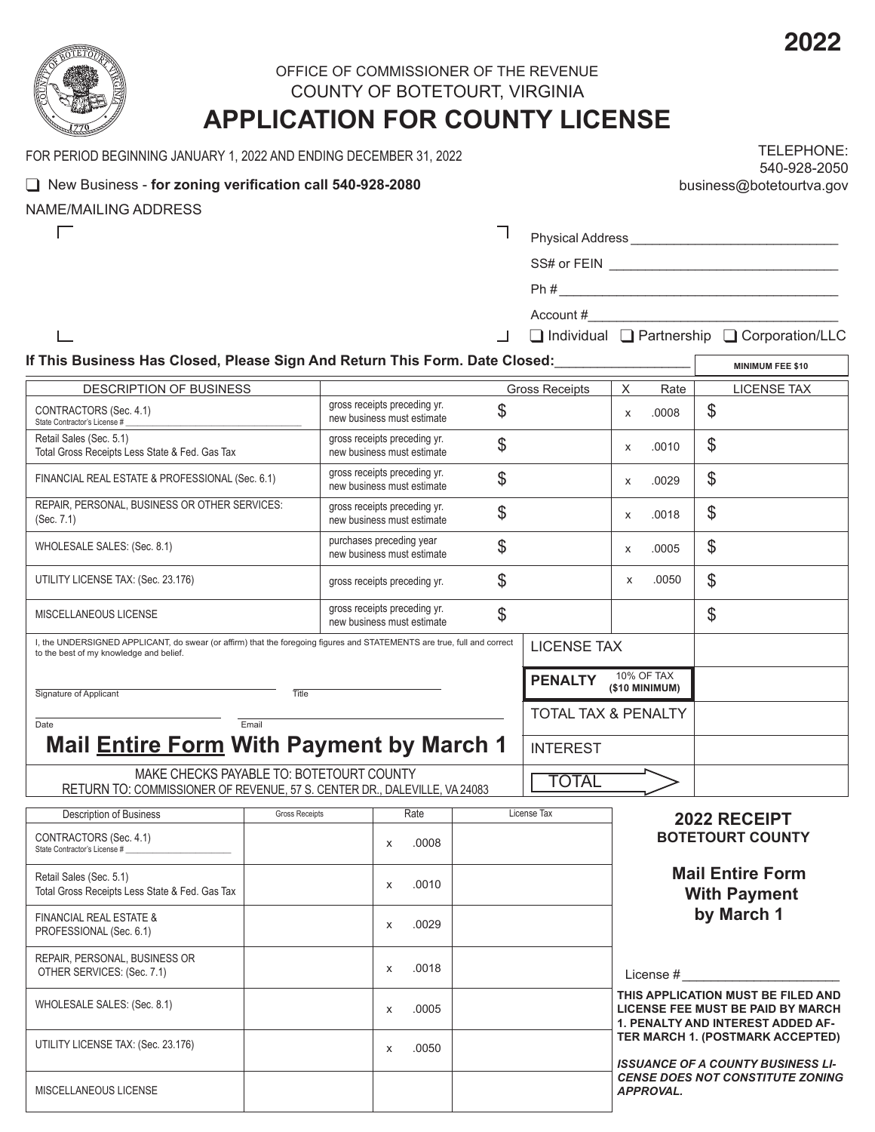

 $\Box$ 

 $\Box$ 

# OFFICE OF COMMISSIONER OF THE REVENUE COUNTY OF BOTETOURT, VIRGINIA

# **APPLICATION FOR COUNTY LICENSE**

FOR PERIOD BEGINNING JANUARY 1, 2022 AND ENDING DECEMBER 31, 2022

## **Q** New Business - for zoning verification call 540-928-2080

NAME/MAILING ADDRESS

| TELEPHONE:               |
|--------------------------|
| 540-928-2050             |
| business@botetourtva.gov |

**MINIMUM FEE \$10**

Physical Address \_\_\_\_\_\_\_\_\_\_\_\_\_\_\_\_\_\_\_\_\_\_\_\_\_\_\_\_\_

Ph # \_\_\_\_\_\_\_\_\_\_\_\_\_\_\_\_\_\_\_\_\_\_\_\_\_\_\_\_\_\_\_\_\_\_\_\_\_\_\_

Account #

**q Individual Q Partnership Q Corporation/LLC** 

SS# or FEIN \_\_\_\_\_\_\_\_\_\_\_\_\_\_\_\_\_\_\_\_\_\_\_\_\_\_\_\_\_\_\_\_

#### **If This Business Has Closed, Please Sign And Return This Form. Date Closed:**\_\_\_\_\_\_\_\_\_\_\_\_\_\_\_\_\_\_\_

| <b>DESCRIPTION OF BUSINESS</b>                                                                                                                                     | <b>Gross Receipts</b>                                            |                |   | Rate                                | <b>LICENSE TAX</b> |
|--------------------------------------------------------------------------------------------------------------------------------------------------------------------|------------------------------------------------------------------|----------------|---|-------------------------------------|--------------------|
| CONTRACTORS (Sec. 4.1)<br>State Contractor's License #                                                                                                             | gross receipts preceding yr.<br>\$<br>new business must estimate |                |   | .0008                               | \$                 |
| Retail Sales (Sec. 5.1)<br>Total Gross Receipts Less State & Fed. Gas Tax                                                                                          | gross receipts preceding yr.<br>\$<br>new business must estimate |                |   | .0010                               | \$                 |
| FINANCIAL REAL ESTATE & PROFESSIONAL (Sec. 6.1)                                                                                                                    | gross receipts preceding yr.<br>\$<br>new business must estimate |                |   | .0029                               | \$                 |
| REPAIR, PERSONAL, BUSINESS OR OTHER SERVICES:<br>(Sec. 7.1)                                                                                                        | gross receipts preceding yr.<br>\$<br>new business must estimate |                | X | .0018                               | \$                 |
| WHOLESALE SALES: (Sec. 8.1)                                                                                                                                        | purchases preceding year<br>\$<br>new business must estimate     |                | X | .0005                               | \$                 |
| UTILITY LICENSE TAX: (Sec. 23.176)                                                                                                                                 | \$<br>gross receipts preceding yr.                               |                | X | .0050                               | \$                 |
| MISCELLANEOUS LICENSE                                                                                                                                              | gross receipts preceding yr.<br>\$<br>new business must estimate |                |   |                                     | \$                 |
| l, the UNDERSIGNED APPLICANT, do swear (or affirm) that the foregoing figures and STATEMENTS are true, full and correct<br>to the best of my knowledge and belief. | <b>LICENSE TAX</b>                                               |                |   |                                     |                    |
| Signature of Applicant<br>Title                                                                                                                                    |                                                                  | <b>PENALTY</b> |   | <b>10% OF TAX</b><br>(\$10 MINIMUM) |                    |
| Email<br>Date                                                                                                                                                      | <b>TOTAL TAX &amp; PENALTY</b>                                   |                |   |                                     |                    |
| <b>Mail Entire Form With Payment by March 1</b>                                                                                                                    | <b>INTEREST</b>                                                  |                |   |                                     |                    |
| MAKE CHECKS PAYABLE TO: BOTETOURT COUNTY<br>RETURN TO: COMMISSIONER OF REVENUE, 57 S. CENTER DR., DALEVILLE, VA 24083                                              | <b>TOTAL</b>                                                     |                |   |                                     |                    |

| <b>Description of Business</b>                                            | <b>Gross Receipts</b> | Rate       | License Tax | 2022 RECEIPT                                                                                                                                                                                                                                                       |  |
|---------------------------------------------------------------------------|-----------------------|------------|-------------|--------------------------------------------------------------------------------------------------------------------------------------------------------------------------------------------------------------------------------------------------------------------|--|
| CONTRACTORS (Sec. 4.1)<br>State Contractor's License #                    |                       | .0008<br>X |             | <b>BOTETOURT COUNTY</b>                                                                                                                                                                                                                                            |  |
| Retail Sales (Sec. 5.1)<br>Total Gross Receipts Less State & Fed. Gas Tax |                       | .0010<br>X |             | <b>Mail Entire Form</b><br><b>With Payment</b>                                                                                                                                                                                                                     |  |
| <b>FINANCIAL REAL ESTATE &amp;</b><br>PROFESSIONAL (Sec. 6.1)             |                       | .0029<br>X |             | by March 1                                                                                                                                                                                                                                                         |  |
| REPAIR, PERSONAL, BUSINESS OR<br>OTHER SERVICES: (Sec. 7.1)               |                       | .0018<br>x |             | License #                                                                                                                                                                                                                                                          |  |
| WHOLESALE SALES: (Sec. 8.1)                                               |                       | .0005<br>x |             | THIS APPLICATION MUST BE FILED AND<br>LICENSE FEE MUST BE PAID BY MARCH<br><b>1. PENALTY AND INTEREST ADDED AF-</b><br>TER MARCH 1. (POSTMARK ACCEPTED)<br><b>ISSUANCE OF A COUNTY BUSINESS LI-</b><br><b>CENSE DOES NOT CONSTITUTE ZONING</b><br><b>APPROVAL.</b> |  |
| UTILITY LICENSE TAX: (Sec. 23.176)                                        |                       | .0050<br>X |             |                                                                                                                                                                                                                                                                    |  |
| MISCELLANEOUS LICENSE                                                     |                       |            |             |                                                                                                                                                                                                                                                                    |  |